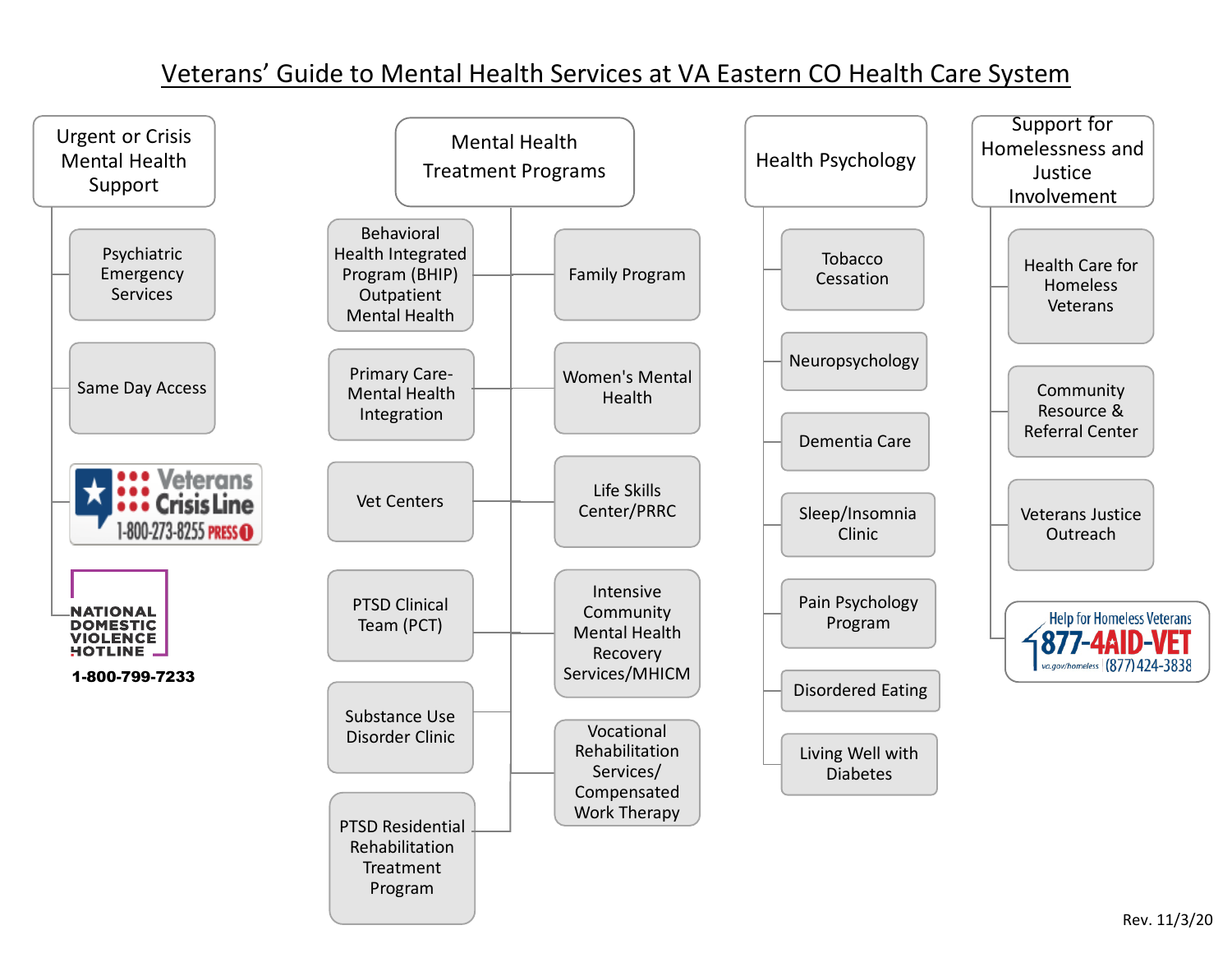# Veterans' Guide to Mental Health Services at VA Eastern CO Health Care System

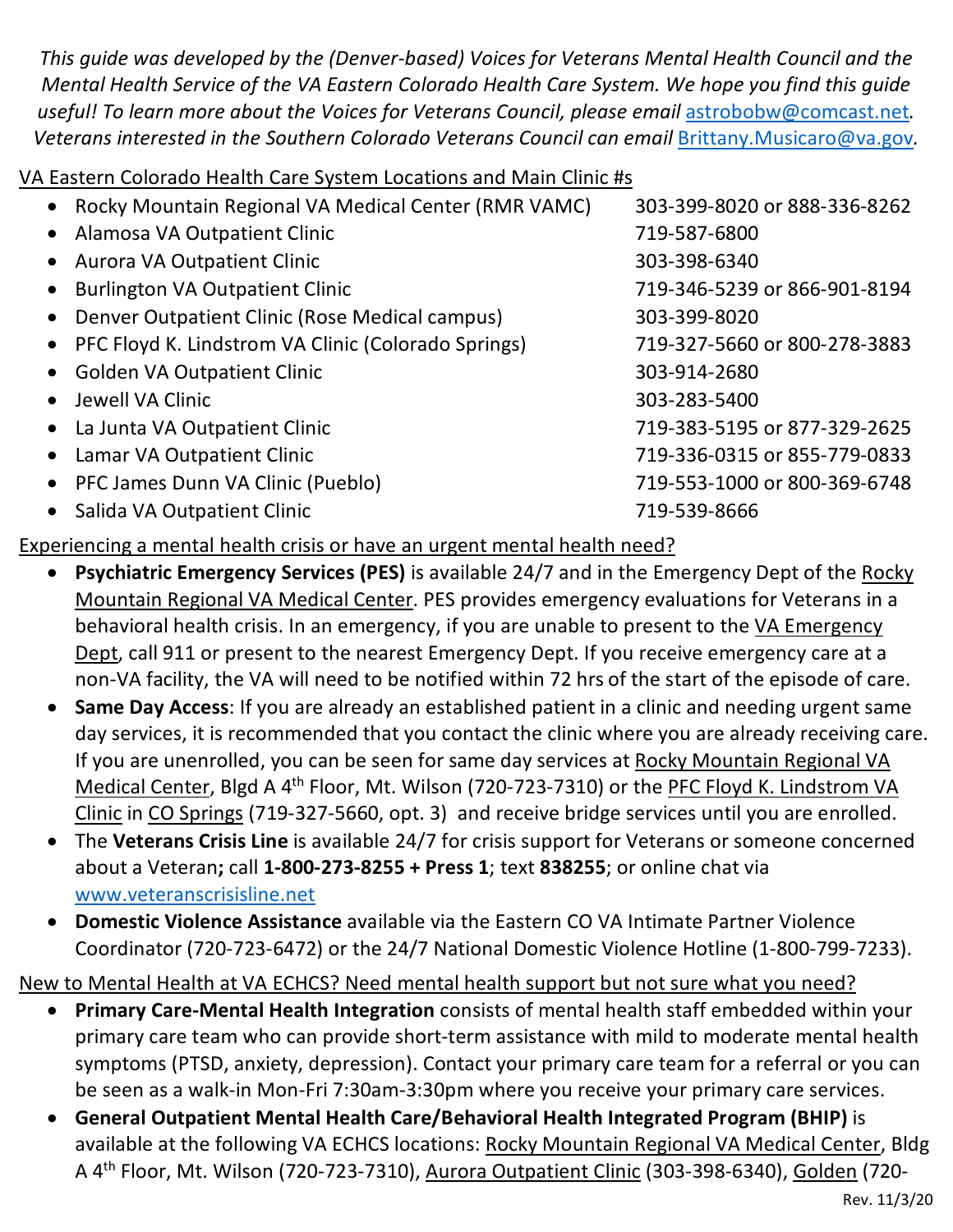*This guide was developed by the (Denver-based) Voices for Veterans Mental Health Council and the Mental Health Service of the VA Eastern Colorado Health Care System. We hope you find this guide useful! To learn more about the Voices for Veterans Council, please email* [astrobobw@comcast.net](mailto:astrobobw@comcast.net)*. Veterans interested in the Southern Colorado Veterans Council can email* [Brittany.Musicaro@va.gov](mailto:Brittany.Musicaro@va.gov)*.* 

VA Eastern Colorado Health Care System Locations and Main Clinic #s

|           | • Rocky Mountain Regional VA Medical Center (RMR VAMC) | 303-399-8020 or 888-336-8262 |
|-----------|--------------------------------------------------------|------------------------------|
|           | • Alamosa VA Outpatient Clinic                         | 719-587-6800                 |
|           | • Aurora VA Outpatient Clinic                          | 303-398-6340                 |
| $\bullet$ | <b>Burlington VA Outpatient Clinic</b>                 | 719-346-5239 or 866-901-8194 |
|           | • Denver Outpatient Clinic (Rose Medical campus)       | 303-399-8020                 |
|           | • PFC Floyd K. Lindstrom VA Clinic (Colorado Springs)  | 719-327-5660 or 800-278-3883 |
|           | • Golden VA Outpatient Clinic                          | 303-914-2680                 |
|           | • Jewell VA Clinic                                     | 303-283-5400                 |
|           | • La Junta VA Outpatient Clinic                        | 719-383-5195 or 877-329-2625 |
|           | • Lamar VA Outpatient Clinic                           | 719-336-0315 or 855-779-0833 |
|           | • PFC James Dunn VA Clinic (Pueblo)                    | 719-553-1000 or 800-369-6748 |
| $\bullet$ | Salida VA Outpatient Clinic                            | 719-539-8666                 |
|           |                                                        |                              |

### Experiencing a mental health crisis or have an urgent mental health need?

- **Psychiatric Emergency Services (PES)** is available 24/7 and in the Emergency Dept of the Rocky Mountain Regional VA Medical Center. PES provides emergency evaluations for Veterans in a behavioral health crisis. In an emergency, if you are unable to present to the VA Emergency Dept, call 911 or present to the nearest Emergency Dept. If you receive emergency care at a non-VA facility, the VA will need to be notified within 72 hrs of the start of the episode of care.
- **Same Day Access**: If you are already an established patient in a clinic and needing urgent same day services, it is recommended that you contact the clinic where you are already receiving care. If you are unenrolled, you can be seen for same day services at Rocky Mountain Regional VA Medical Center, Blgd A 4<sup>th</sup> Floor, Mt. Wilson (720-723-7310) or the PFC Floyd K. Lindstrom VA Clinic in CO Springs (719-327-5660, opt. 3) and receive bridge services until you are enrolled.
- The **Veterans Crisis Line** is available 24/7 for crisis support for Veterans or someone concerned about a Veteran**;** call **1-800-273-8255 + Press 1**; text **838255**; or online chat via [www.veteranscrisisline.net](http://www.veteranscrisisline.net/)
- **Domestic Violence Assistance** available via the Eastern CO VA Intimate Partner Violence Coordinator (720-723-6472) or the 24/7 National Domestic Violence Hotline (1-800-799-7233).

#### New to Mental Health at VA ECHCS? Need mental health support but not sure what you need?

- **Primary Care-Mental Health Integration** consists of mental health staff embedded within your primary care team who can provide short-term assistance with mild to moderate mental health symptoms (PTSD, anxiety, depression). Contact your primary care team for a referral or you can be seen as a walk-in Mon-Fri 7:30am-3:30pm where you receive your primary care services.
- **General Outpatient Mental Health Care/Behavioral Health Integrated Program (BHIP)** is available at the following VA ECHCS locations: Rocky Mountain Regional VA Medical Center, Bldg A 4th Floor, Mt. Wilson (720-723-7310), Aurora Outpatient Clinic (303-398-6340), Golden (720-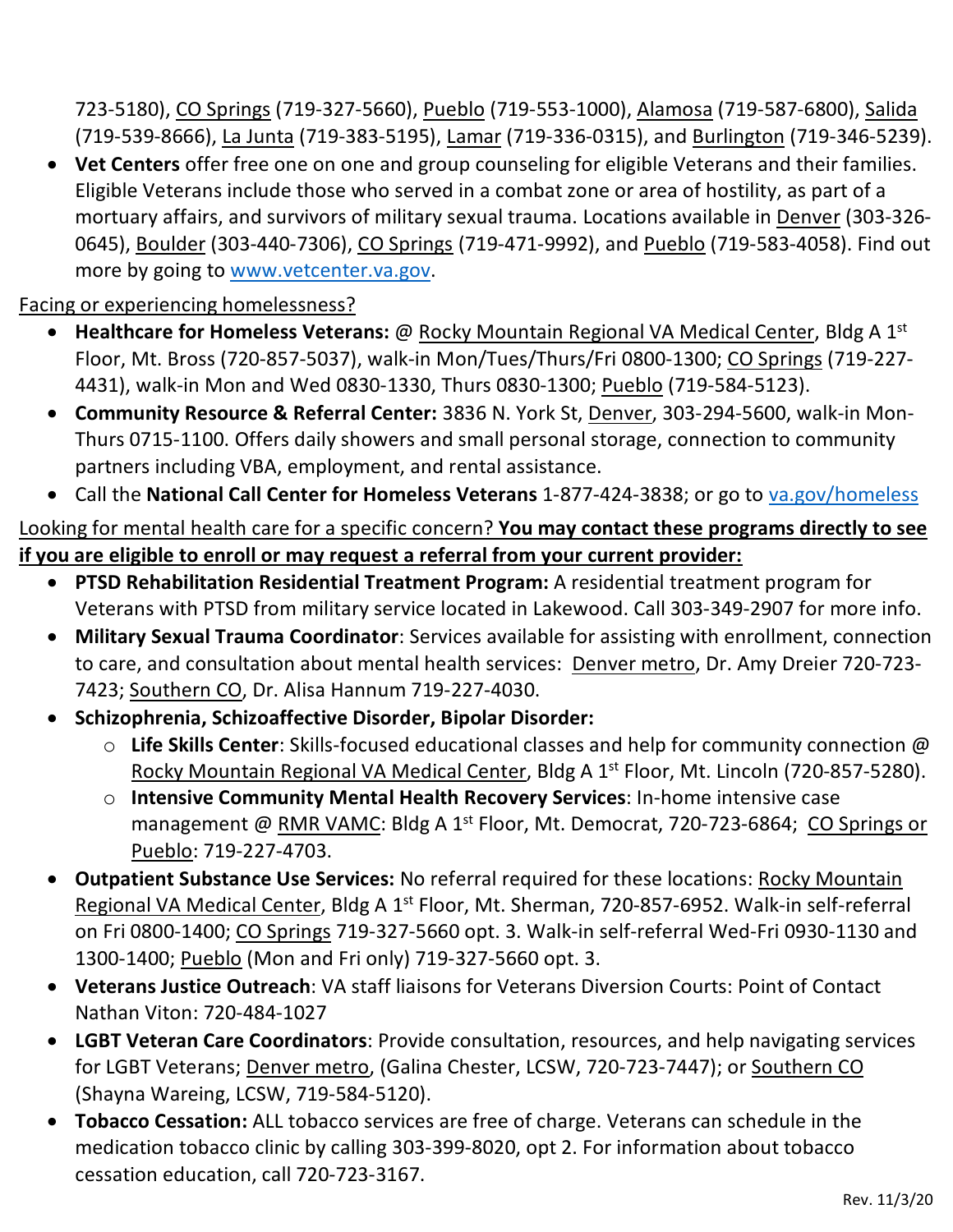723-5180), CO Springs (719-327-5660), Pueblo (719-553-1000), Alamosa (719-587-6800), Salida (719-539-8666), La Junta (719-383-5195), Lamar (719-336-0315), and Burlington (719-346-5239).

• **Vet Centers** offer free one on one and group counseling for eligible Veterans and their families. Eligible Veterans include those who served in a combat zone or area of hostility, as part of a mortuary affairs, and survivors of military sexual trauma. Locations available in Denver (303-326- 0645), Boulder (303-440-7306), CO Springs (719-471-9992), and Pueblo (719-583-4058). Find out more by going to [www.vetcenter.va.gov.](https://www.vetcenter.va.gov/)

Facing or experiencing homelessness?

- **Healthcare for Homeless Veterans:** @ Rocky Mountain Regional VA Medical Center, Bldg A 1<sup>st</sup> Floor, Mt. Bross (720-857-5037), walk-in Mon/Tues/Thurs/Fri 0800-1300; CO Springs (719-227- 4431), walk-in Mon and Wed 0830-1330, Thurs 0830-1300; Pueblo (719-584-5123).
- **Community Resource & Referral Center:** 3836 N. York St, Denver, 303-294-5600, walk-in Mon-Thurs 0715-1100. Offers daily showers and small personal storage, connection to community partners including VBA, employment, and rental assistance.
- Call the **National Call Center for Homeless Veterans** 1-877-424-3838; or go to [va.gov/homeless](file://r01echhsm02.r01.med.va.gov/Homedir$/VHAECHSticeB/mh%20resource%20guide/va.gov/homeless)

#### Looking for mental health care for a specific concern? **You may contact these programs directly to see if you are eligible to enroll or may request a referral from your current provider:**

- **PTSD Rehabilitation Residential Treatment Program:** A residential treatment program for Veterans with PTSD from military service located in Lakewood. Call 303-349-2907 for more info.
- **Military Sexual Trauma Coordinator**: Services available for assisting with enrollment, connection to care, and consultation about mental health services: Denver metro, Dr. Amy Dreier 720-723- 7423; Southern CO, Dr. Alisa Hannum 719-227-4030.
- **Schizophrenia, Schizoaffective Disorder, Bipolar Disorder:**
	- o **Life Skills Center**: Skills-focused educational classes and help for community connection @ Rocky Mountain Regional VA Medical Center, Bldg A 1<sup>st</sup> Floor, Mt. Lincoln (720-857-5280).
	- o **Intensive Community Mental Health Recovery Services**: In-home intensive case management @ RMR VAMC: Bldg A 1<sup>st</sup> Floor, Mt. Democrat, 720-723-6864; CO Springs or Pueblo: 719-227-4703.
- **Outpatient Substance Use Services:** No referral required for these locations: Rocky Mountain Regional VA Medical Center, Bldg A 1<sup>st</sup> Floor, Mt. Sherman, 720-857-6952. Walk-in self-referral on Fri 0800-1400; CO Springs 719-327-5660 opt. 3. Walk-in self-referral Wed-Fri 0930-1130 and 1300-1400; Pueblo (Mon and Fri only) 719-327-5660 opt. 3.
- **Veterans Justice Outreach**: VA staff liaisons for Veterans Diversion Courts: Point of Contact Nathan Viton: 720-484-1027
- **LGBT Veteran Care Coordinators**: Provide consultation, resources, and help navigating services for LGBT Veterans; Denver metro, (Galina Chester, LCSW, 720-723-7447); or Southern CO (Shayna Wareing, LCSW, 719-584-5120).
- **Tobacco Cessation:** ALL tobacco services are free of charge. Veterans can schedule in the medication tobacco clinic by calling 303-399-8020, opt 2. For information about tobacco cessation education, call 720-723-3167.